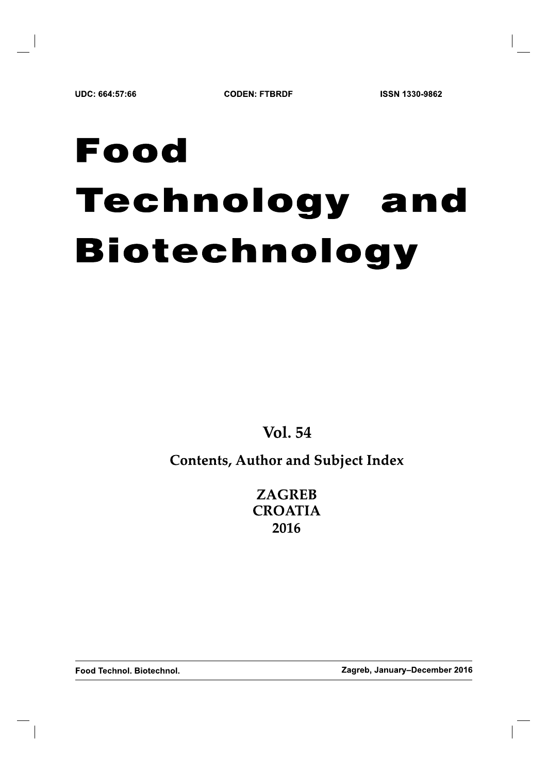# Food Technology and **Biotechnology**

**Vol. 54** 

# **Contents, Author and Subject Index**

**ZAGREB CROATIA** 2016

Food Technol. Biotechnol.

Zagreb, January-December 2016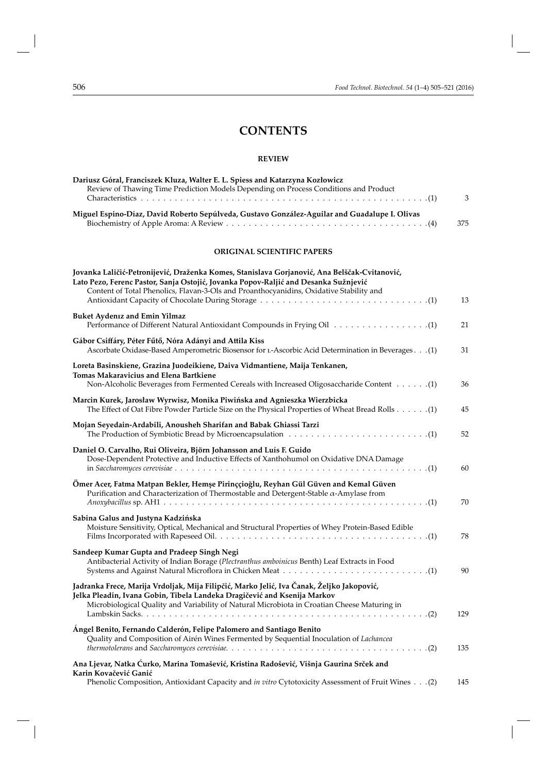## **CONTENTS**

#### **REVIEW**

| Dariusz Góral, Franciszek Kluza, Walter E. L. Spiess and Katarzyna Kozłowicz<br>Review of Thawing Time Prediction Models Depending on Process Conditions and Product                                                                                                           | 3   |
|--------------------------------------------------------------------------------------------------------------------------------------------------------------------------------------------------------------------------------------------------------------------------------|-----|
| Miguel Espino-Díaz, David Roberto Sepúlveda, Gustavo González-Aguilar and Guadalupe I. Olivas                                                                                                                                                                                  | 375 |
| <b>ORIGINAL SCIENTIFIC PAPERS</b>                                                                                                                                                                                                                                              |     |
| Jovanka Laličić-Petronijević, Draženka Komes, Stanislava Gorjanović, Ana Belščak-Cvitanović,<br>Lato Pezo, Ferenc Pastor, Sanja Ostojić, Jovanka Popov-Raljić and Desanka Sužnjević<br>Content of Total Phenolics, Flavan-3-Ols and Proanthocyanidins, Oxidative Stability and | 13  |
| <b>Buket Aydeniz and Emin Yilmaz</b>                                                                                                                                                                                                                                           | 21  |
| Gábor Csiffáry, Péter Fűtő, Nóra Adányi and Attila Kiss<br>(1). Ascorbate Oxidase-Based Amperometric Biosensor for L-Ascorbic Acid Determination in Beverages. (1)                                                                                                             | 31  |
| Loreta Basinskiene, Grazina Juodeikiene, Daiva Vidmantiene, Maija Tenkanen,<br><b>Tomas Makaravicius and Elena Bartkiene</b>                                                                                                                                                   | 36  |
| Marcin Kurek, Jarosław Wyrwisz, Monika Piwińska and Agnieszka Wierzbicka<br>(1). (1) The Effect of Oat Fibre Powder Particle Size on the Physical Properties of Wheat Bread Rolls (1)                                                                                          | 45  |
| Mojan Seyedain-Ardabili, Anousheh Sharifan and Babak Ghiassi Tarzi                                                                                                                                                                                                             | 52  |
| Daniel O. Carvalho, Rui Oliveira, Björn Johansson and Luís F. Guido<br>Dose-Dependent Protective and Inductive Effects of Xanthohumol on Oxidative DNA Damage                                                                                                                  | 60  |
| Ömer Acer, Fatma Matpan Bekler, Hemşe Pirinççioğlu, Reyhan Gül Güven and Kemal Güven<br>Purification and Characterization of Thermostable and Detergent-Stable $\alpha$ -Amylase from                                                                                          | 70  |
| Sabina Galus and Justyna Kadzińska<br>Moisture Sensitivity, Optical, Mechanical and Structural Properties of Whey Protein-Based Edible                                                                                                                                         | 78  |
| Sandeep Kumar Gupta and Pradeep Singh Negi<br>Antibacterial Activity of Indian Borage (Plectranthus amboinicus Benth) Leaf Extracts in Food                                                                                                                                    | 90  |
| Jadranka Frece, Marija Vrdoljak, Mija Filipčić, Marko Jelić, Iva Čanak, Željko Jakopović,<br>Jelka Pleadin, Ivana Gobin, Tibela Landeka Dragičević and Ksenija Markov<br>Microbiological Quality and Variability of Natural Microbiota in Croatian Cheese Maturing in          | 129 |
| Angel Benito, Fernando Calderón, Felipe Palomero and Santiago Benito<br>Quality and Composition of Airén Wines Fermented by Sequential Inoculation of Lachancea                                                                                                                | 135 |
| Ana Ljevar, Natka Ćurko, Marina Tomašević, Kristina Radošević, Višnja Gaurina Srček and<br>Karin Kovačević Ganić<br>(2). 20) Phenolic Composition, Antioxidant Capacity and in vitro Cytotoxicity Assessment of Fruit Wines.                                                   | 145 |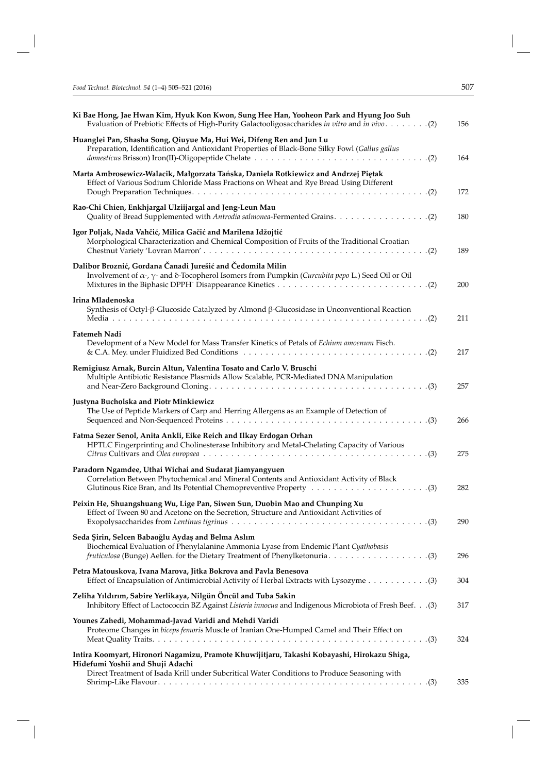| Ki Bae Hong, Jae Hwan Kim, Hyuk Kon Kwon, Sung Hee Han, Yooheon Park and Hyung Joo Suh                                                                                                        | 156 |
|-----------------------------------------------------------------------------------------------------------------------------------------------------------------------------------------------|-----|
| Huanglei Pan, Shasha Song, Qiuyue Ma, Hui Wei, Difeng Ren and Jun Lu<br>Preparation, Identification and Antioxidant Properties of Black-Bone Silky Fowl (Gallus gallus                        | 164 |
| Marta Ambrosewicz-Walacik, Małgorzata Tańska, Daniela Rotkiewicz and Andrzej Piętak<br>Effect of Various Sodium Chloride Mass Fractions on Wheat and Rye Bread Using Different                | 172 |
| Rao-Chi Chien, Enkhjargal Ulziijargal and Jeng-Leun Mau                                                                                                                                       | 180 |
| Igor Poljak, Nada Vahčić, Milica Gačić and Marilena Idžojtić<br>Morphological Characterization and Chemical Composition of Fruits of the Traditional Croatian                                 | 189 |
| Dalibor Broznić, Gordana Čanadi Jurešić and Čedomila Milin<br>Involvement of $\alpha$ -, $\gamma$ - and $\delta$ -Tocopherol Isomers from Pumpkin ( <i>Curcubita pepo</i> L.) Seed Oil or Oil | 200 |
| Irina Mladenoska<br>Synthesis of Octyl- $\beta$ -Glucoside Catalyzed by Almond $\beta$ -Glucosidase in Unconventional Reaction                                                                | 211 |
| <b>Fatemeh Nadi</b><br>Development of a New Model for Mass Transfer Kinetics of Petals of Echium атоепит Fisch.                                                                               | 217 |
| Remigiusz Arnak, Burcin Altun, Valentina Tosato and Carlo V. Bruschi<br>Multiple Antibiotic Resistance Plasmids Allow Scalable, PCR-Mediated DNA Manipulation                                 | 257 |
| Justyna Bucholska and Piotr Minkiewicz<br>The Use of Peptide Markers of Carp and Herring Allergens as an Example of Detection of                                                              | 266 |
| Fatma Sezer Senol, Anita Ankli, Eike Reich and Ilkay Erdogan Orhan<br>HPTLC Fingerprinting and Cholinesterase Inhibitory and Metal-Chelating Capacity of Various                              | 275 |
| Paradorn Ngamdee, Uthai Wichai and Sudarat Jiamyangyuen<br>Correlation Between Phytochemical and Mineral Contents and Antioxidant Activity of Black                                           | 282 |
| Peixin He, Shuangshuang Wu, Lige Pan, Siwen Sun, Duobin Mao and Chunping Xu<br>Effect of Tween 80 and Acetone on the Secretion, Structure and Antioxidant Activities of                       | 290 |
| Seda Şirin, Selcen Babaoğlu Aydaş and Belma Aslım<br>Biochemical Evaluation of Phenylalanine Ammonia Lyase from Endemic Plant Cyathobasis                                                     | 296 |
| Petra Matouskova, Ivana Marova, Jitka Bokrova and Pavla Benesova<br>Effect of Encapsulation of Antimicrobial Activity of Herbal Extracts with Lysozyme 3)                                     | 304 |
| Zeliha Yıldırım, Sabire Yerlikaya, Nilgün Öncül and Tuba Sakin<br>Inhibitory Effect of Lactococcin BZ Against Listeria innocua and Indigenous Microbiota of Fresh Beef. (3)                   | 317 |
| Younes Zahedi, Mohammad-Javad Varidi and Mehdi Varidi<br>Proteome Changes in biceps femoris Muscle of Iranian One-Humped Camel and Their Effect on                                            | 324 |
| Intira Koomyart, Hironori Nagamizu, Pramote Khuwijitjaru, Takashi Kobayashi, Hirokazu Shiga,<br>Hidefumi Yoshii and Shuji Adachi                                                              |     |
| Direct Treatment of Isada Krill under Subcritical Water Conditions to Produce Seasoning with                                                                                                  | 335 |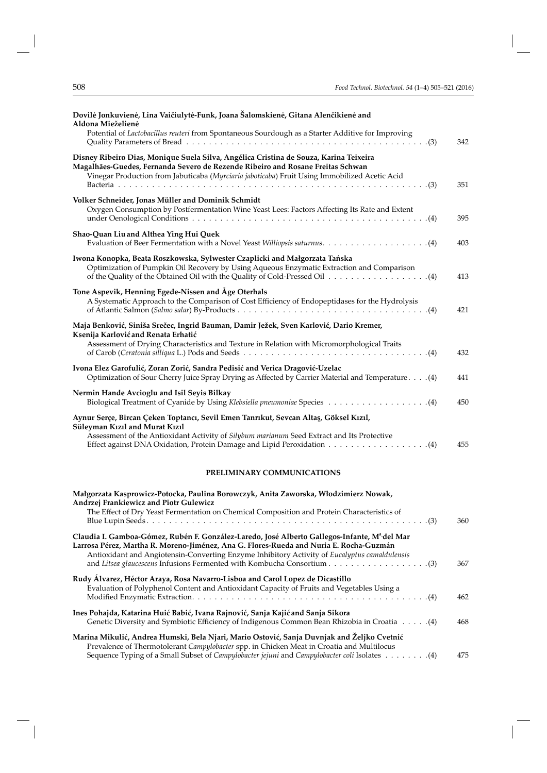| Dovilė Jonkuvienė, Lina Vaičiulytė-Funk, Joana Šalomskienė, Gitana Alenčikienė and<br>Aldona Mieželienė                                                                                                                                                                  |     |
|--------------------------------------------------------------------------------------------------------------------------------------------------------------------------------------------------------------------------------------------------------------------------|-----|
| Potential of Lactobacillus reuteri from Spontaneous Sourdough as a Starter Additive for Improving                                                                                                                                                                        | 342 |
| Disney Ribeiro Dias, Monique Suela Silva, Angélica Cristina de Souza, Karina Teixeira<br>Magalhães-Guedes, Fernanda Severo de Rezende Ribeiro and Rosane Freitas Schwan<br>Vinegar Production from Jabuticaba (Myrciaria jaboticaba) Fruit Using Immobilized Acetic Acid | 351 |
| Volker Schneider, Jonas Müller and Dominik Schmidt<br>Oxygen Consumption by Postfermentation Wine Yeast Lees: Factors Affecting Its Rate and Extent                                                                                                                      | 395 |
| Shao-Quan Liu and Althea Ying Hui Quek                                                                                                                                                                                                                                   | 403 |
| Iwona Konopka, Beata Roszkowska, Sylwester Czaplicki and Małgorzata Tańska<br>Optimization of Pumpkin Oil Recovery by Using Aqueous Enzymatic Extraction and Comparison                                                                                                  | 413 |
| Tone Aspevik, Henning Egede-Nissen and Åge Oterhals<br>A Systematic Approach to the Comparison of Cost Efficiency of Endopeptidases for the Hydrolysis                                                                                                                   | 421 |
| Maja Benković, Siniša Srečec, Ingrid Bauman, Damir Ježek, Sven Karlović, Dario Kremer,<br>Ksenija Karlović and Renata Erhatić                                                                                                                                            |     |
| Assessment of Drying Characteristics and Texture in Relation with Micromorphological Traits                                                                                                                                                                              | 432 |
| Ivona Elez Garofulić, Zoran Zorić, Sandra Pedisić and Verica Dragović-Uzelac<br>(4). Optimization of Sour Cherry Juice Spray Drying as Affected by Carrier Material and Temperature. (4)                                                                                 | 441 |
| Nermin Hande Avcioglu and Isil Seyis Bilkay                                                                                                                                                                                                                              | 450 |
| Aynur Serçe, Bircan Çeken Toptancı, Sevil Emen Tanrıkut, Sevcan Altaş, Göksel Kızıl,<br>Süleyman Kızıl and Murat Kızıl<br>Assessment of the Antioxidant Activity of Silybum marianum Seed Extract and Its Protective                                                     | 455 |
|                                                                                                                                                                                                                                                                          |     |

#### **PRELIMINARY COMMUNICATIONS**

| Małgorzata Kasprowicz-Potocka, Paulina Borowczyk, Anita Zaworska, Włodzimierz Nowak,<br>Andrzej Frankiewicz and Piotr Gulewicz                                                          |     |
|-----------------------------------------------------------------------------------------------------------------------------------------------------------------------------------------|-----|
| The Effect of Dry Yeast Fermentation on Chemical Composition and Protein Characteristics of                                                                                             | 360 |
| Claudia I. Gamboa-Gómez, Rubén F. González-Laredo, José Alberto Gallegos-Infante, Madel Mar                                                                                             |     |
| Larrosa Pérez, Martha R. Moreno-Jiménez, Ana G. Flores-Rueda and Nuria E. Rocha-Guzmán                                                                                                  |     |
| Antioxidant and Angiotensin-Converting Enzyme Inhibitory Activity of Eucalyptus camaldulensis                                                                                           | 367 |
| Rudy Álvarez, Héctor Araya, Rosa Navarro-Lisboa and Carol Lopez de Dicastillo<br>Evaluation of Polyphenol Content and Antioxidant Capacity of Fruits and Vegetables Using a             |     |
|                                                                                                                                                                                         | 462 |
| Ines Pohajda, Katarina Huić Babić, Ivana Rajnović, Sanja Kajić and Sanja Sikora                                                                                                         |     |
| (4). (4) Genetic Diversity and Symbiotic Efficiency of Indigenous Common Bean Rhizobia in Croatia (4)                                                                                   | 468 |
| Marina Mikulić, Andrea Humski, Bela Njari, Mario Ostović, Sanja Duvnjak and Željko Cvetnić<br>Prevalence of Thermotolerant Campylobacter spp. in Chicken Meat in Croatia and Multilocus |     |
|                                                                                                                                                                                         | 475 |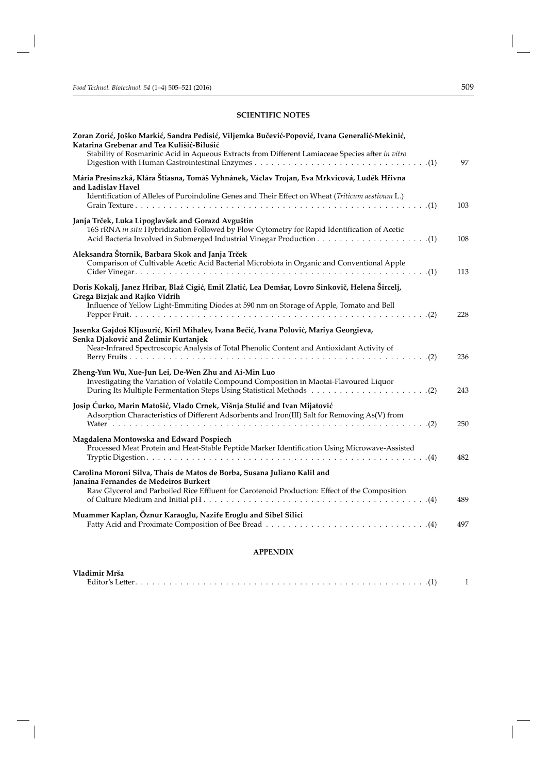#### **SCIENTIFIC NOTES**

| Zoran Zorić, Joško Markić, Sandra Pedisić, Viljemka Bučević-Popović, Ivana Generalić-Mekinić,<br>Katarina Grebenar and Tea Kulišić-Bilušić<br>Stability of Rosmarinic Acid in Aqueous Extracts from Different Lamiaceae Species after in vitro | 97  |
|------------------------------------------------------------------------------------------------------------------------------------------------------------------------------------------------------------------------------------------------|-----|
| Mária Presinszká, Klára Štiasna, Tomáš Vyhnánek, Václav Trojan, Eva Mrkvicová, Luděk Hřivna                                                                                                                                                    |     |
| and Ladislav Havel<br>Identification of Alleles of Puroindoline Genes and Their Effect on Wheat (Triticum aestivum L.)                                                                                                                         | 103 |
| Janja Trček, Luka Lipoglavšek and Gorazd Avguštin<br>16S rRNA in situ Hybridization Followed by Flow Cytometry for Rapid Identification of Acetic                                                                                              | 108 |
| Aleksandra Štornik, Barbara Skok and Janja Trček<br>Comparison of Cultivable Acetic Acid Bacterial Microbiota in Organic and Conventional Apple                                                                                                | 113 |
| Doris Kokalj, Janez Hribar, Blaž Cigić, Emil Zlatić, Lea Demšar, Lovro Sinkovič, Helena Šircelj,<br>Grega Bizjak and Rajko Vidrih                                                                                                              |     |
| Influence of Yellow Light-Emmiting Diodes at 590 nm on Storage of Apple, Tomato and Bell                                                                                                                                                       | 228 |
| Jasenka Gajdoš Kljusurić, Kiril Mihalev, Ivana Bečić, Ivana Polović, Mariya Georgieva,<br>Senka Djaković and Želimir Kurtanjek<br>Near-Infrared Spectroscopic Analysis of Total Phenolic Content and Antioxidant Activity of                   | 236 |
| Zheng-Yun Wu, Xue-Jun Lei, De-Wen Zhu and Ai-Min Luo<br>Investigating the Variation of Volatile Compound Composition in Maotai-Flavoured Liquor                                                                                                | 243 |
| Josip Ćurko, Marin Matošić, Vlado Crnek, Višnja Stulić and Ivan Mijatović<br>Adsorption Characteristics of Different Adsorbents and Iron(III) Salt for Removing As(V) from                                                                     | 250 |
| Magdalena Montowska and Edward Pospiech<br>Processed Meat Protein and Heat-Stable Peptide Marker Identification Using Microwave-Assisted                                                                                                       | 482 |
| Carolina Moroni Silva, Thais de Matos de Borba, Susana Juliano Kalil and<br>Janaína Fernandes de Medeiros Burkert<br>Raw Glycerol and Parboiled Rice Effluent for Carotenoid Production: Effect of the Composition                             |     |
|                                                                                                                                                                                                                                                | 489 |
| Muammer Kaplan, Öznur Karaoglu, Nazife Eroglu and Sibel Silici                                                                                                                                                                                 | 497 |

### **APPENDIX**

| Vladimir Mrša    |  |
|------------------|--|
| Editor's Letter. |  |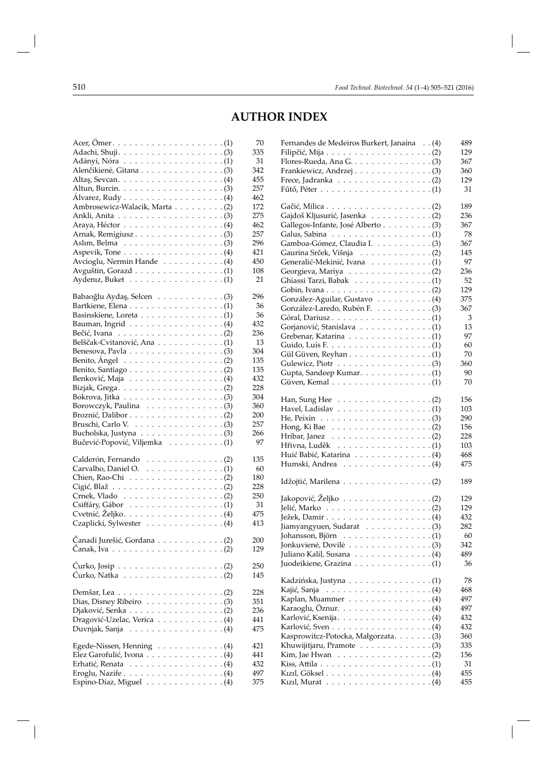# **AUTHOR INDEX**

|                                                                          | 70  |
|--------------------------------------------------------------------------|-----|
|                                                                          | 335 |
|                                                                          | 31  |
| Alenčikienė, Gitana (3)                                                  | 342 |
|                                                                          | 455 |
| Altun, Burcin. $\ldots \ldots \ldots \ldots \ldots \ldots$ . (3)         | 257 |
| Alvarez, Rudy $\ldots \ldots \ldots \ldots \ldots (4)$                   | 462 |
| Ambrosewicz-Walacik, Marta (2)                                           | 172 |
|                                                                          | 275 |
| Araya, Héctor $\dots \dots \dots \dots \dots \dots \dots$ (4)            | 462 |
|                                                                          | 257 |
| Aslim, Belma $\ldots \ldots \ldots \ldots \ldots \ldots$ . (3)           | 296 |
| Aspevik, Tone $\dots \dots \dots \dots \dots \dots \dots$                | 421 |
| Avcioglu, Nermin Hande (4)                                               | 450 |
|                                                                          | 108 |
|                                                                          | 21  |
|                                                                          |     |
| Babaoğlu Aydaş, Selcen 3)                                                | 296 |
|                                                                          | 36  |
|                                                                          | 36  |
| Bauman, Ingrid $\ldots \ldots \ldots \ldots \ldots \ldots (4)$           | 432 |
| Bečić, Ivana $\ldots \ldots \ldots \ldots \ldots \ldots \ldots (2)$      | 236 |
| Belščak-Cvitanović, Ana (1)                                              | 13  |
|                                                                          | 304 |
| Benito, Ángel $\dots \dots \dots \dots \dots \dots \dots$ . (2)          | 135 |
|                                                                          | 135 |
|                                                                          | 432 |
| Bizjak, Grega. $\ldots \ldots \ldots \ldots \ldots \ldots \ldots$ . (2)  | 228 |
| Bokrova, Jitka $\ldots \ldots \ldots \ldots \ldots \ldots \ldots$ .      | 304 |
|                                                                          | 360 |
|                                                                          | 200 |
| Bruschi, Carlo V. $\ldots \ldots \ldots \ldots \ldots \ldots$ .          | 257 |
|                                                                          | 266 |
| Bučević-Popović, Viljemka (1)                                            | 97  |
|                                                                          |     |
| Calderón, Fernando (2)                                                   | 135 |
| Carvalho, Daniel O. (1)                                                  | 60  |
| Chien, Rao-Chi (2)                                                       | 180 |
|                                                                          | 228 |
| Crnek, Vlado $\ldots \ldots \ldots \ldots \ldots \ldots (2)$             | 250 |
|                                                                          | 31  |
|                                                                          | 475 |
| Czaplicki, Sylwester (4)                                                 | 413 |
|                                                                          |     |
| Čanadi Jurešić, Gordana (2)                                              | 200 |
| Čanak, Iva $\ldots \ldots \ldots \ldots \ldots \ldots \ldots \ldots (2)$ | 129 |
|                                                                          |     |
|                                                                          | 250 |
|                                                                          | 145 |
|                                                                          |     |
| Demšar, Lea $\dots \dots \dots \dots \dots \dots \dots \dots$ . (2)      | 228 |
|                                                                          | 351 |
| Djaković, Senka (2)                                                      | 236 |
| Dragović-Uzelac, Verica (4)                                              | 441 |
| Duvnjak, Sanja (4)                                                       | 475 |
|                                                                          |     |
| Egede-Nissen, Henning (4)                                                | 421 |
| Elez Garofulić, Ivona (4)                                                | 441 |
|                                                                          | 432 |
|                                                                          | 497 |
| Espino-Díaz, Miguel (4)                                                  | 375 |

| Fernandes de Medeiros Burkert, Janaína (4)                             | 489 |
|------------------------------------------------------------------------|-----|
|                                                                        | 129 |
|                                                                        | 367 |
|                                                                        | 360 |
|                                                                        | 129 |
|                                                                        |     |
|                                                                        | 31  |
|                                                                        |     |
|                                                                        | 189 |
| Gajdoš Kljusurić, Jasenka (2)                                          | 236 |
| Gallegos-Infante, José Alberto (3)                                     | 367 |
|                                                                        | 78  |
| Gamboa-Gómez, Claudia I. (3)                                           | 367 |
| Gaurina Srček, Višnja (2)                                              | 145 |
| Generalić-Mekinić, Ivana (1)                                           | 97  |
|                                                                        |     |
| Georgieva, Mariya (2)                                                  | 236 |
| Ghiassi Tarzi, Babak (1)                                               | 52  |
|                                                                        | 129 |
| González-Aguilar, Gustavo (4)                                          | 375 |
|                                                                        | 367 |
|                                                                        | 3   |
| Gorjanović, Stanislava (1)                                             | 13  |
|                                                                        | 97  |
| Grebenar, Katarina (1)                                                 |     |
|                                                                        | 60  |
| Gül Güven, Reyhan (1)                                                  | 70  |
|                                                                        | 360 |
| Gupta, Sandeep Kumar. (1)                                              | 90  |
|                                                                        | 70  |
|                                                                        |     |
|                                                                        | 156 |
|                                                                        | 103 |
|                                                                        | 290 |
|                                                                        |     |
| Hong, Ki Bae $\dots \dots \dots \dots \dots \dots \dots \dots$         | 156 |
|                                                                        | 228 |
| Hřivna, Luděk (1)                                                      | 103 |
| Huić Babić, Katarina (4)                                               | 468 |
| Humski, Andrea (4)                                                     | 475 |
|                                                                        |     |
| Idžojtić, Marilena (2)                                                 | 189 |
|                                                                        |     |
| Jakopović, Željko (2)                                                  | 129 |
|                                                                        | 129 |
|                                                                        | 432 |
| Jiamyangyuen, Sudarat (3)                                              | 282 |
|                                                                        |     |
| Johansson, Björn (1)                                                   | 60  |
| Jonkuvienė, Dovilė (3)                                                 | 342 |
| Juliano Kalil, Susana 4)                                               | 489 |
| Juodeikiene, Grazina (1)                                               | 36  |
|                                                                        |     |
| Kadzińska, Justyna $\ldots \ldots \ldots \ldots \ldots (1)$            | 78  |
| Kajić, Sanja                                                           | 468 |
| Kaplan, Muammer $\ldots \ldots \ldots \ldots (4)$                      | 497 |
|                                                                        | 497 |
|                                                                        |     |
|                                                                        | 432 |
| Karlović, Sven $\ldots \ldots \ldots \ldots \ldots$ . (4)              | 432 |
| Kasprowitcz-Potocka, Małgorzata. (3)                                   | 360 |
| Khuwijitjaru, Pramote 3)                                               | 335 |
| Kim, Jae Hwan $\ldots \ldots \ldots \ldots \ldots (2)$                 | 156 |
| Kiss, Attila $\ldots \ldots \ldots \ldots \ldots \ldots \ldots \ldots$ | 31  |
|                                                                        | 455 |
| Kizil, Murat $\ldots \ldots \ldots \ldots \ldots \ldots \ldots (4)$    | 455 |
|                                                                        |     |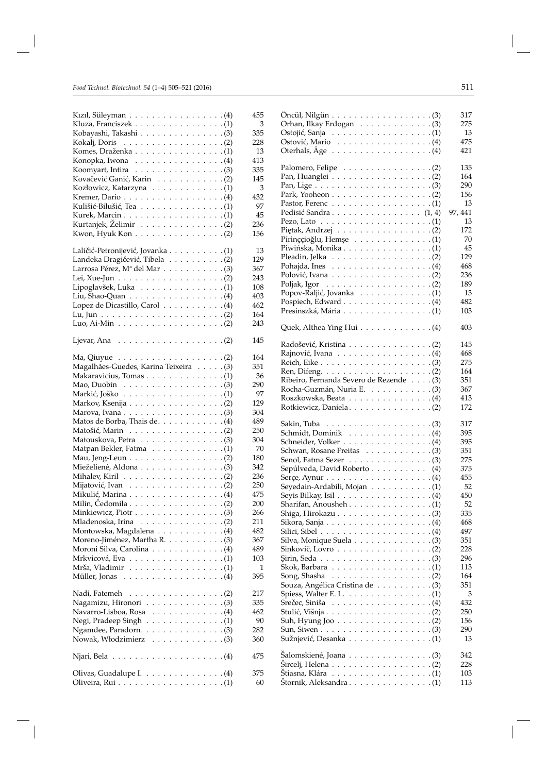| Kızıl, Süleyman (4)                                                   | 455 |
|-----------------------------------------------------------------------|-----|
| Kluza, Franciszek (1)                                                 | 3   |
| Kobayashi, Takashi (3)                                                | 335 |
| Kokalj, Doris $\ldots \ldots \ldots \ldots \ldots \ldots$ . (2)       | 228 |
| Komes, Draženka (1)                                                   | 13  |
| Konopka, Iwona $\dots \dots \dots \dots \dots \dots \dots$            | 413 |
|                                                                       | 335 |
| Kovačević Ganić, Karin (2)                                            | 145 |
|                                                                       | 3   |
|                                                                       | 432 |
| Kulišić-Bilušić, Tea (1)                                              | 97  |
|                                                                       | 45  |
| Kurtanjek, Želimir (2)                                                | 236 |
| Kwon, Hyuk Kon (2)                                                    | 156 |
|                                                                       |     |
| Laličić-Petronijević, Jovanka (1)                                     | 13  |
| Landeka Dragičević, Tibela (2)                                        | 129 |
|                                                                       | 367 |
|                                                                       | 243 |
| Lipoglavšek, Luka (1)                                                 | 108 |
|                                                                       | 403 |
| Lopez de Dicastillo, Carol (4)                                        | 462 |
|                                                                       | 164 |
|                                                                       | 243 |
| Ljevar, Ana $\ldots \ldots \ldots \ldots \ldots \ldots \ldots (2)$    | 145 |
|                                                                       | 164 |
| Magalhães-Guedes, Karina Teixeira (3)                                 | 351 |
|                                                                       | 36  |
| Mao, Duobin $\ldots \ldots \ldots \ldots \ldots \ldots$ . (3)         | 290 |
|                                                                       | 97  |
|                                                                       | 129 |
| Markov, Ksenija (2)                                                   |     |
|                                                                       | 304 |
| Matos de Borba, Thais de. (4)                                         | 489 |
|                                                                       | 250 |
|                                                                       | 304 |
| Matpan Bekler, Fatma (1)                                              | 70  |
| Mau, Jeng-Leun (2)                                                    | 180 |
| Mieželienė, Aldona $\ldots \ldots \ldots \ldots \ldots$ .             | 342 |
| Mihalev, Kiril $\ldots \ldots \ldots \ldots \ldots \ldots \ldots$ (2) | 236 |
|                                                                       | 250 |
| Mikulić, Marina (4)                                                   | 475 |
| Milin, Čedomila $\ldots \ldots \ldots \ldots \ldots \ldots$ .         | 200 |
|                                                                       | 266 |
| Mladenoska, Irina $\ldots \ldots \ldots \ldots \ldots$ . (2)          | 211 |
| Montowska, Magdalena (4)                                              | 482 |
| Moreno-Jiménez, Martha R. (3)                                         | 367 |
| Moroni Silva, Carolina (4)                                            | 489 |
|                                                                       | 103 |
|                                                                       | 1   |
|                                                                       | 395 |
| Nadi, Fatemeh<br>. (2)                                                | 217 |
|                                                                       | 335 |
| Navarro-Lisboa, Rosa 4)                                               | 462 |
| Negi, Pradeep Singh $\ldots \ldots \ldots \ldots \ldots (1)$          | 90  |
| Ngamdee, Paradorn. (3)                                                | 282 |
|                                                                       | 360 |
| Njari, Bela $\ldots \ldots \ldots \ldots \ldots \ldots \ldots (4)$    | 475 |
|                                                                       |     |
| Olivas, Guadalupe I. $\ldots \ldots \ldots \ldots (4)$                | 375 |
|                                                                       | 60  |

|                                                                                              | 317        |
|----------------------------------------------------------------------------------------------|------------|
| Orhan, Ilkay Erdogan (3)                                                                     | 275        |
| Ostojić, Sanja $\ldots \ldots \ldots \ldots \ldots \ldots \ldots$                            | 13         |
| Ostović, Mario $\dots \dots \dots \dots \dots \dots \dots$                                   | 475        |
| Oterhals, $\text{Age} \ldots \ldots \ldots \ldots \ldots \ldots (4)$                         | 421        |
|                                                                                              | 135        |
|                                                                                              | 164        |
| Pan, Lige $\dots \dots \dots \dots \dots \dots \dots \dots \dots \dots$                      | 290        |
|                                                                                              | 156        |
|                                                                                              | 13         |
| Pedisić Sandra (1, 4)                                                                        | 97, 441    |
| Pezo, Lato $\ldots \ldots \ldots \ldots \ldots \ldots \ldots \ldots$                         | 13         |
| Piętak, Andrzej (2)                                                                          | 172        |
| Pirinççioğlu, Hemşe $\ldots \ldots \ldots \ldots \ldots (1)$                                 | 70         |
|                                                                                              | 45         |
| Pleadin, Jelka $\ldots \ldots \ldots \ldots \ldots \ldots (2)$                               | 129        |
| Pohajda, Ines $\ldots \ldots \ldots \ldots \ldots (4)$                                       | 468        |
| Polović, Ivana $\ldots \ldots \ldots \ldots \ldots \ldots$ . (2)                             | 236        |
| Poljak, Igor $\ldots \ldots \ldots \ldots \ldots \ldots (2)$                                 | 189        |
| Popov-Raljić, Jovanka (1)                                                                    | 13         |
| Pospiech, Edward 4)                                                                          | 482        |
|                                                                                              | 103        |
|                                                                                              |            |
| Quek, Althea Ying Hui (4)                                                                    | 403        |
| Radošević, Kristina (2)                                                                      | 145        |
|                                                                                              | 468        |
|                                                                                              | 275        |
|                                                                                              | 164        |
| Ribeiro, Fernanda Severo de Rezende (3)                                                      | 351        |
|                                                                                              | 367        |
|                                                                                              | 413        |
|                                                                                              | 172        |
| Sakin, Tuba                                                                                  | 317        |
| Schmidt, Dominik $\ldots \ldots \ldots \ldots \ldots (4)$                                    |            |
|                                                                                              | 395        |
|                                                                                              | 395        |
|                                                                                              | 351        |
|                                                                                              | 275        |
| Senol, Fatma Sezer $\ldots \ldots \ldots \ldots \ldots (3)$                                  | 375        |
| Sepúlveda, David Roberto (4)<br>Serçe, Aynur $\ldots \ldots \ldots \ldots \ldots \ldots (4)$ | 455        |
|                                                                                              | 52         |
| Seyedain-Ardabili, Mojan (1)<br>Seyis Bilkay, Isil $\ldots \ldots \ldots \ldots \ldots (4)$  | 450        |
|                                                                                              | 52         |
| Sharifan, Anousheh. $\dots \dots \dots \dots \dots \dots \dots$                              | 335        |
| Sikora, Sanja $\ldots \ldots \ldots \ldots \ldots \ldots \ldots (4)$                         | 468        |
| Silici, Sibel $\ldots \ldots \ldots \ldots \ldots \ldots \ldots (4)$                         | 497        |
| Silva, Monique Suela (3)                                                                     | 351        |
| Sinkovič, Lovro $\dots \dots \dots \dots \dots \dots \dots$                                  | 228        |
| $Sirin, Seda \ldots \ldots \ldots \ldots \ldots \ldots \ldots (3)$                           | 296        |
|                                                                                              | 113        |
| Song, Shasha<br>. (2)                                                                        | 164        |
| Souza, Angélica Cristina de (3)                                                              | 351        |
| Spiess, Walter E. L. $\ldots \ldots \ldots \ldots \ldots (1)$                                | 3          |
| Srečec, Siniša $\ldots \ldots \ldots \ldots \ldots \ldots$ . (4)                             | 432        |
|                                                                                              | 250        |
|                                                                                              | 156        |
|                                                                                              | 290        |
| Sužnjević, Desanka (1)                                                                       | 13         |
| Šalomskienė, Joana (3)                                                                       | 342        |
|                                                                                              | 228        |
| Štiasna, Klára $\ldots \ldots \ldots \ldots \ldots \ldots \ldots$<br>Štornik, Aleksandra (1) | 103<br>113 |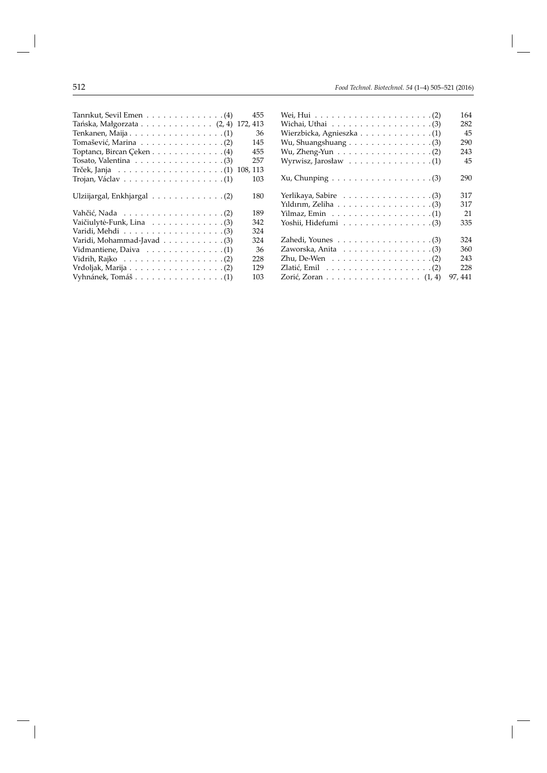| 455                                                                 |
|---------------------------------------------------------------------|
| 172, 413<br>Tańska, Małgorzata $\ldots \ldots \ldots \ldots (2, 4)$ |
| 36                                                                  |
| 145                                                                 |
| 455                                                                 |
| 257                                                                 |
| 108, 113                                                            |
| 103                                                                 |
| 180                                                                 |
| 189                                                                 |
| 342                                                                 |
| 324                                                                 |
| 324                                                                 |
| 36                                                                  |
| 228                                                                 |
| 129                                                                 |
| 103                                                                 |
|                                                                     |

|                                                                    | 164     |
|--------------------------------------------------------------------|---------|
| Wichai, Uthai $\ldots \ldots \ldots \ldots \ldots \ldots$ . (3)    | 282     |
|                                                                    | 45      |
|                                                                    | 290     |
| Wu, Zheng-Yun (2)                                                  | 243     |
| Wyrwisz, Jarosław $\dots \dots \dots \dots \dots \dots \dots$      | 45      |
| $Xu$ , Chunping $\ldots \ldots \ldots \ldots \ldots \ldots \ldots$ | 290     |
|                                                                    | 317     |
| Yildirim, Zeliha $\ldots \ldots \ldots \ldots \ldots \ldots (3)$   | 317     |
|                                                                    | 21      |
| Yoshii, Hidefumi $\ldots \ldots \ldots \ldots \ldots$ . (3)        | 335     |
|                                                                    | 324     |
| Zaworska, Anita $\ldots \ldots \ldots \ldots \ldots$ . (3)         | 360     |
| Zhu, De-Wen $\ldots \ldots \ldots \ldots \ldots \ldots (2)$        | 243     |
| Zlatić, Emil $\ldots \ldots \ldots \ldots \ldots \ldots (2)$       | 228     |
| Zorić, Zoran (1, 4)                                                | 97, 441 |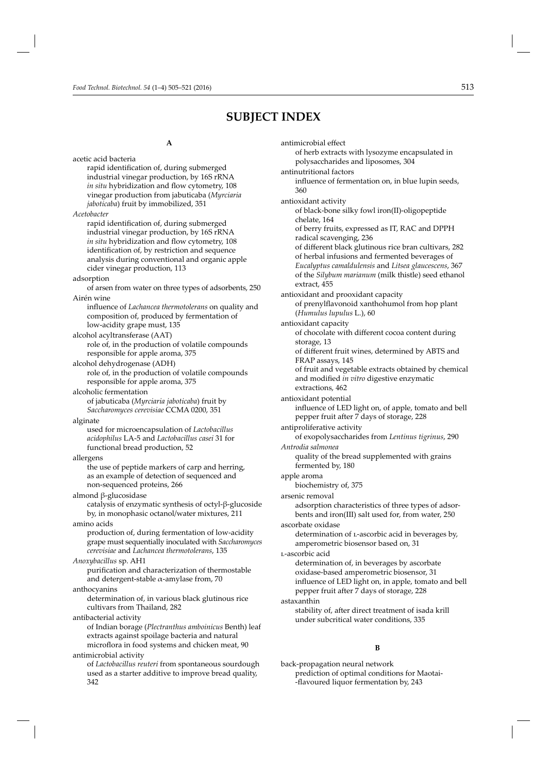# **SUBJECT INDEX**

antimicrobial effect

#### **A**

acetic acid bacteria rapid identification of, during submerged industrial vinegar production, by 16S rRNA *in situ* hybridization and flow cytometry, 108 vinegar production from jabuticaba (*Myrciaria jaboticaba*) fruit by immobilized, 351 *Acetobacter* rapid identification of, during submerged industrial vinegar production, by 16S rRNA *in situ* hybridization and flow cytometry, 108 identification of, by restriction and sequence analysis during conventional and organic apple cider vinegar production, 113 adsorption of arsen from water on three types of adsorbents, 250 Airén wine influence of *Lachancea thermotolerans* on quality and composition of, produced by fermentation of low-acidity grape must, 135 alcohol acyltransferase (AAT) role of, in the production of volatile compounds responsible for apple aroma, 375 alcohol dehydrogenase (ADH) role of, in the production of volatile compounds responsible for apple aroma, 375 alcoholic fermentation of jabuticaba (*Myrciaria jaboticaba*) fruit by *Saccharomyces cerevisiae* CCMA 0200, 351 alginate used for microencapsulation of *Lactobacillus acidophilus* LA-5 and *Lactobacillus casei* 31 for functional bread production, 52 allergens the use of peptide markers of carp and herring, as an example of detection of sequenced and non-sequenced proteins, 266 almond β-glucosidase catalysis of enzymatic synthesis of octyl-β-glucoside by, in monophasic octanol/water mixtures, 211 amino acids production of, during fermentation of low-acidity grape must sequentially inoculated with *Saccharomyces cerevisiae* and *Lachancea thermotolerans*, 135 *Anoxybacillus* sp. AH1 purification and characterization of thermostable and detergent-stable  $\alpha$ -amylase from, 70 anthocyanins determination of, in various black glutinous rice cultivars from Thailand, 282 antibacterial activity of Indian bora ge (*Plectranthus amboinicus* Benth) leaf extracts against spoilage bacteria and natural microflora in food systems and chicken meat, 90 antimicrobial activity of *Lactobacillus reuteri* from spontaneous sourdough used as a starter additive to improve bread quality, 342 of herb extracts with lysozyme encapsulated in polysaccharides and liposomes, 304 antinutritional factors influence of fermentation on, in blue lupin seeds, 360 antioxidant activity of black-bone silky fowl iron(II)-oligopeptide chelate, 164 of berry fruits, expressed as IT, RAC and DPPH radical scavenging, 236 of different black glutinous rice bran cultivars, 282 of herbal infusions and fermented beverages of *Eucalyptus camaldulensis* and *Litsea glaucescens*, 367 of the *Silybum marianum* (milk thistle) seed ethanol extract, 455 antioxidant and prooxidant capacity of prenylflavonoid xanthohumol from hop plant (*Humulus lupulus* L.), 60 antioxidant capacity of chocolate with different cocoa content during storage, 13 of different fruit wines, determined by ABTS and FRAP assays, 145 of fruit and vegetable extracts obtained by chemical and modified *in vitro* digestive enzymatic extractions, 462 antioxidant potential influence of LED light on, of apple, tomato and bell pepper fruit after 7 days of storage, 228 antiproliferative activity of exopolysaccharides from *Lentinus tigrinus*, 290 *Antrodia salmonea* quality of the bread supplemented with grains fermented by, 180 apple aroma biochemistry of, 375 arsenic removal adsorption characteristics of three types of adsorbents and iron(III) salt used for, from water, 250 ascorbate oxidase determination of l-ascorbic acid in beverages by, amperometric biosensor based on, 31 l-ascorbic acid determination of, in beverages by ascorbate oxidase-based amperometric biosensor, 31 influence of LED light on, in apple, tomato and bell pepper fruit after 7 days of storage, 228 astaxanthin stability of, after direct treatment of isada krill under subcritical water conditions, 335 **B** back-propagation neural network prediction of optimal conditions for Maotai- -flavoured liquor fermentation by, 243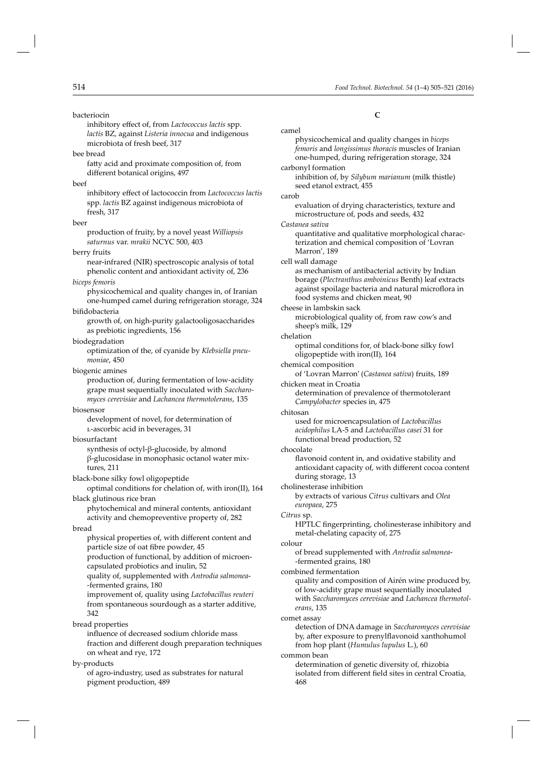bacteriocin

inhibitory effect of, from *Lactococcus lactis* spp. *lactis* BZ, against *Listeria innocua* and indigenous microbiota of fresh beef, 317

bee bread

fatty acid and proximate composition of, from different botanical origins, 497

#### beef

inhibitory effect of lactococcin from *Lactococcus lactis* spp. *lactis* BZ against indigenous microbiota of fresh, 317

#### beer

production of fruity, by a novel yeast *Williopsis saturnus* var. *mrakii* NCYC 500, 403

#### berry fruits

near-infrared (NIR) spectroscopic analysis of total phenolic content and antioxidant activity of, 236

#### *biceps femoris*

physicochemical and quality changes in, of Iranian one-humped camel during refrigeration storage, 324

#### bifidobacteria

growth of, on high-purity galactooligosaccharides as prebiotic ingredients, 156

#### biodegradation

optimization of the, of cyanide by *Klebsiella pneumoniae*, 450

#### biogenic amines

production of, during fermentation of low-acidity grape must sequentially inoculated with *Saccharomyces cerevisiae* and *Lachancea thermotolerans*, 135

#### biosensor

development of novel, for determination of l-ascorbic acid in beverages, 31

#### biosurfactant

synthesis of octyl-β-glucoside, by almond β-glucosidase in monophasic octanol water mixtures, 211

#### black-bone silky fowl oligopeptide

optimal conditions for chelation of, with iron(II), 164 black glutinous rice bran

phytochemical and mineral contents, antioxidant activity and chemopreventive property of, 282

#### bread

physical properties of, with different content and particle size of oat fibre powder, 45 production of functional, by addition of microen-

capsulated probiotics and inulin, 52

quality of, supplemented with *Antrodia salmonea*- -fermented grains, 180

improvement of, quality using *Lactobacillus reuteri* from spontaneous sourdough as a starter additive, 342

bread properties

influence of decreased sodium chloride mass fraction and different dough preparation techniques on wheat and rye, 172

by-products

of agro-industry, used as substrates for natural pigment production, 489

**C**

camel physicochemical and quality changes in *biceps femoris* and *longissimus thoracis* muscles of Iranian one-humped, during refrigeration storage, 324 carbonyl formation inhibition of, by *Silybum marianum* (milk thistle) seed etanol extract, 455 carob evaluation of drying characteristics, texture and microstructure of, pods and seeds, 432 *Castanea sativa* quantitative and qualitative morphological characterization and chemical composition of 'Lovran Marron', 189 cell wall damage as mechanism of antibacterial activity by Indian borage (*Plectranthus amboinicus* Benth) leaf extracts against spoilage bacteria and natural microflora in food systems and chicken meat, 90 cheese in lambskin sack microbiological quality of, from raw cow's and sheep's milk, 129 chelation optimal conditions for, of black-bone silky fowl oligopeptide with iron(II), 164 chemical composition of 'Lovran Marron' (*Castanea sativa*) fruits, 189 chicken meat in Croatia determination of prevalence of thermotolerant *Campylobacter* species in, 475 chitosan used for microencapsulation of *Lactobacillus acidophilus* LA-5 and *Lactobacillus casei* 31 for functional bread production, 52 chocolate flavonoid content in, and oxidative stability and antioxidant capacity of, with different cocoa content during storage, 13 cholinesterase inhibition by extracts of various *Citrus* cultivars and *Olea europaea*, 275 *Citrus* sp. HPTLC fingerprinting, cholinesterase inhibitory and metal-chelating capacity of, 275 colour of bread supplemented with *Antrodia salmonea*- -fermented grains, 180 combined fermentation quality and composition of Airén wine produced by, of low-acidity grape must sequentially inoculated with *Saccharomyces cerevisiae* and *Lachancea thermotolerans*, 135 comet assay detection of DNA damage in *Saccharomyces cerevisiae* by, after exposure to prenylflavonoid xanthohumol from hop plant (*Humulus lupulus* L.), 60 common bean

determination of genetic diversity of, rhizobia isolated from different field sites in central Croatia, 468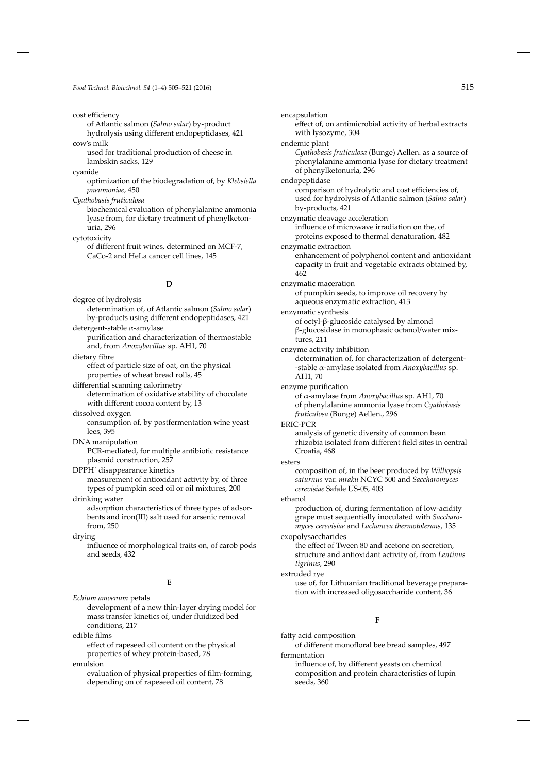cost efficiency

of Atlantic salmon (*Salmo salar*) by-product hydrolysis using different endopeptidases, 421 cow's milk

used for traditional production of cheese in lambskin sacks, 129

cyanide

optimization of the biodegradation of, by *Klebsiella pneumoniae*, 450

*Cyathobasis fruticulosa*

biochemical evaluation of phenylalanine ammonia lyase from, for dietary treatment of phenylketonuria, 296

cytotoxicity of different fruit wines, determined on MCF-7, CaCo-2 and HeLa cancer cell lines, 145

#### **D**

degree of hydrolysis determination of, of Atlantic salmon (*Salmo salar*) by-products using different endopeptidases, 421

detergent-stable α-amylase purification and characterization of thermostable and, from *Anoxybacillus* sp. AH1, 70

dietary fibre effect of particle size of oat, on the physical properties of wheat bread rolls, 45

differential scanning calorimetry determination of oxidative stability of chocolate with different cocoa content by, 13

dissolved oxygen

consumption of, by postfermentation wine yeast lees, 395

DNA manipulation

PCR-mediated, for multiple antibiotic resistance plasmid construction, 257

DPPH˙ disappearance kinetics measurement of antioxidant activity by, of three types of pumpkin seed oil or oil mixtures, 200

drinking water adsorption characteristics of three types of adsorbents and iron(III) salt used for arsenic removal from, 250

drying

influence of morphological traits on, of carob pods and seeds, 432

#### **E**

*Echium amoenum* petals development of a new thin-layer drying model for mass transfer kinetics of, under fluidized bed conditions, 217

edible films

effect of rapeseed oil content on the physical properties of whey protein-based, 78

emulsion

evaluation of physical properties of film-forming, depending on of rapeseed oil content, 78

encapsulation effect of, on antimicrobial activity of herbal extracts with lysozyme, 304 endemic plant *Cyathobasis fruticulosa* (Bunge) Aellen. as a source of phenylalanine ammonia lyase for dietary treatment of phenylketonuria, 296 endopeptidase comparison of hydrolytic and cost efficiencies of, used for hydrolysis of Atlantic salmon (*Salmo salar*) by-products, 421 enzymatic cleavage acceleration influence of microwave irradiation on the, of proteins exposed to thermal denaturation, 482 enzymatic extraction enhancement of polyphenol content and antioxidant capacity in fruit and vegetable extracts obtained by, 462 enzymatic maceration of pumpkin seeds, to improve oil recovery by aqueous enzymatic extraction, 413 enzymatic synthesis of octyl-β-glucoside catalysed by almond β-glucosidase in monophasic octanol/water mixtures, 211 enzyme activity inhibition determination of, for characterization of detergent- -stable α-amylase isolated from *Anoxybacillus* sp. AH1, 70 enzyme purification of α-amylase from *Anoxybacillus* sp. AH1, 70 of phenylalanine ammonia lyase from *Cyathobasis fruticulosa* (Bunge) Aellen., 296 ERIC-PCR analysis of genetic diversity of common bean rhizobia isolated from different field sites in central Croatia, 468 esters composition of, in the beer produced by *Williopsis saturnus* var. *mrakii* NCYC 500 and *Saccharomyces cerevisiae* Safale US-05, 403 ethanol production of, during fermentation of low-acidity grape must sequentially inoculated with *Saccharomyces cerevisiae* and *Lachancea thermotolerans*, 135 exopolysaccharides the effect of Tween 80 and acetone on secretion, structure and antioxidant activity of, from *Lentinus tigrinus*, 290 extruded rye use of, for Lithuanian traditional beverage preparation with increased oligosaccharide content, 36 **F** fatty acid composition

of different monofloral bee bread samples, 497 fermentation

influence of, by different yeasts on chemical composition and protein characteristics of lupin seeds, 360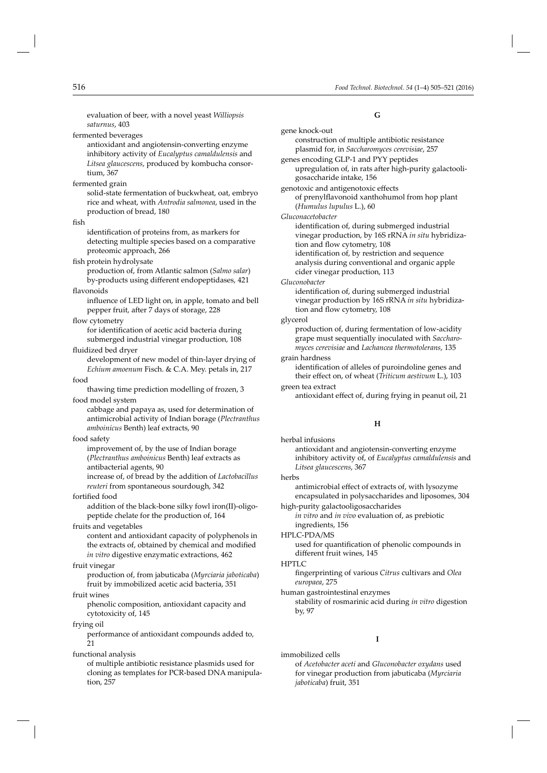evaluation of beer, with a novel yeast *Williopsis saturnus*, 403

fermented beverages

antioxidant and angiotensin-converting enzyme inhibitory activity of *Eucalyptus camaldulensis* and *Litsea glaucescens*, produced by kombucha consortium, 367

#### fermented grain

solid-state fermentation of buckwheat, oat, embryo rice and wheat, with *Antrodia salmonea*, used in the production of bread, 180

#### fish

identification of proteins from, as markers for detecting multiple species based on a comparative proteomic approach, 266

fish protein hydrolysate

production of, from Atlantic salmon (*Salmo salar*) by-products using different endopeptidases, 421

#### flavonoids

influence of LED light on, in apple, tomato and bell pepper fruit, after 7 days of storage, 228

#### flow cytometry

for identification of acetic acid bacteria during submerged industrial vinegar production, 108

#### fluidized bed dryer

development of new model of thin-layer drying of *Echium amoenum* Fisch. & C.A. Mey. petals in, 217

#### food

thawing time prediction modelling of frozen, 3 food model system

cabbage and papaya as, used for determination of antimicrobial activity of Indian borage (*Plectranthus amboinicus* Benth) leaf extracts, 90

#### food safety

improvement of, by the use of Indian borage (*Plectranthus amboinicus* Benth) leaf extracts as antibacterial agents, 90

increase of, of bread by the addition of *Lactobacillus reuteri* from spontaneous sourdough, 342

#### fortified food

addition of the black-bone silky fowl iron(II)-oligopeptide chelate for the production of, 164

#### fruits and vegetables

content and antioxidant capacity of polyphenols in the extracts of, obtained by chemical and modified *in vitro* digestive enzymatic extractions, 462

#### fruit vinegar

production of, from jabuticaba (*Myrciaria jaboticaba*) fruit by immobilized acetic acid bacteria, 351

#### fruit wines

phenolic composition, antioxidant capacity and cytotoxicity of, 145

#### frying oil

performance of antioxidant compounds added to, 21

#### functional analysis

of multiple antibiotic resistance plasmids used for cloning as templates for PCR-based DNA manipulation, 257

#### **G**

| gene knock-out                                                                                                                                                                                                                                                            |
|---------------------------------------------------------------------------------------------------------------------------------------------------------------------------------------------------------------------------------------------------------------------------|
| construction of multiple antibiotic resistance<br>plasmid for, in Saccharomyces cerevisiae, 257                                                                                                                                                                           |
| genes encoding GLP-1 and PYY peptides<br>upregulation of, in rats after high-purity galactooli-<br>gosaccharide intake, 156                                                                                                                                               |
| genotoxic and antigenotoxic effects<br>of prenylflavonoid xanthohumol from hop plant<br>(Humulus lupulus L.), 60                                                                                                                                                          |
| Gluconacetobacter                                                                                                                                                                                                                                                         |
| identification of, during submerged industrial<br>vinegar production, by 16S rRNA in situ hybridiza-<br>tion and flow cytometry, 108<br>identification of, by restriction and sequence<br>analysis during conventional and organic apple<br>cider vinegar production, 113 |
| Gluconobacter<br>identification of, during submerged industrial<br>vinegar production by 16S rRNA in situ hybridiza-<br>tion and flow cytometry, 108                                                                                                                      |
| glycerol                                                                                                                                                                                                                                                                  |
| production of, during fermentation of low-acidity<br>grape must sequentially inoculated with Saccharo-<br>myces cerevisiae and Lachancea thermotolerans, 135                                                                                                              |
| grain hardness                                                                                                                                                                                                                                                            |
| identification of alleles of puroindoline genes and<br>their effect on, of wheat (Triticum aestivum L.), 103                                                                                                                                                              |
| green tea extract<br>antioxidant effect of, during frying in peanut oil, 21                                                                                                                                                                                               |
|                                                                                                                                                                                                                                                                           |
| н                                                                                                                                                                                                                                                                         |
| herbal infusions<br>antioxidant and angiotensin-converting enzyme<br>inhibitory activity of, of Eucalyptus camaldulensis and<br>Litsea glaucescens, 367                                                                                                                   |
| herbs                                                                                                                                                                                                                                                                     |

antimicrobial effect of extracts of, with lysozyme encapsulated in polysaccharides and liposomes, 304

high-purity galactooligosaccharides *in vitro* and *in vivo* evaluation of, as prebiotic

#### ingredients, 156 HPLC-PDA/MS

used for quantification of phenolic compounds in different fruit wines. 145

#### HPTLC

fingerprinting of various *Citrus* cultivars and *Olea europaea*, 275

#### human gastrointestinal enzymes

stability of rosmarinic acid during *in vitro* digestion by, 97

#### **I**

immobilized cells

of *Acetobacter aceti* and *Gluconobacter oxydans* used for vinegar production from jabuticaba (*Myrciaria jaboticaba*) fruit, 351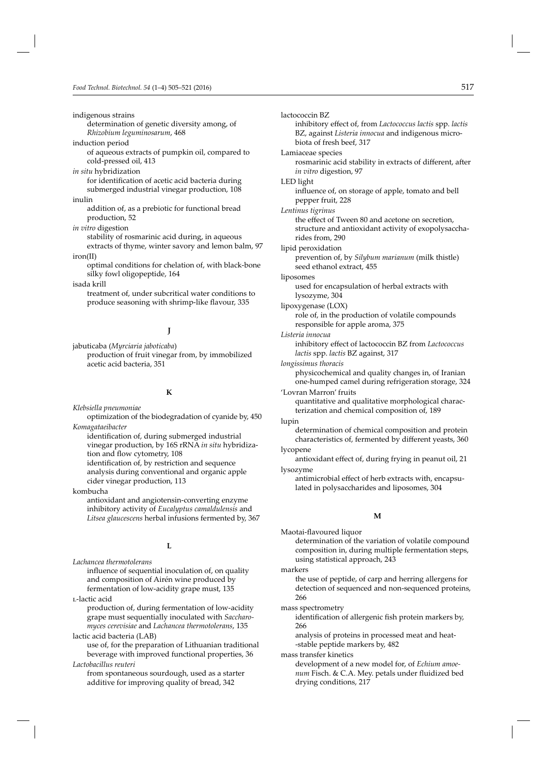indigenous strains

```
determination of genetic diversity among, of 
Rhizobium leguminosarum, 468
```
induction period

of aqueous extracts of pumpkin oil, compared to cold-pressed oil, 413

#### *in situ* hybridization

for identification of acetic acid bacteria during submerged industrial vinegar production, 108

#### inulin

addition of, as a prebiotic for functional bread production, 52

*in vitro* digestion

stability of rosmarinic acid during, in aqueous extracts of thyme, winter savory and lemon balm, 97

#### iron(II)

optimal conditions for chelation of, with black-bone silky fowl oligopeptide, 164

isada krill

treatment of, under subcritical water conditions to produce seasoning with shrimp-like flavour, 335

#### **J**

jabuticaba (*Myrciaria jaboticaba*) production of fruit vinegar from, by immobilized acetic acid bacteria, 351

#### **K**

*Klebsiella pneumoniae*

optimization of the biodegradation of cyanide by, 450 *Komagataeibacter*

identification of, during submerged industrial vinegar production, by 16S rRNA *in situ* hybridization and flow cytometry, 108 identification of, by restriction and sequence analysis during conventional and organic apple cider vinegar production, 113

kombucha

antioxidant and angiotensin-converting enzyme inhibitory activity of *Eucalyptus camaldulensis* and *Litsea glaucescens* herbal infusions fermented by, 367

#### **L**

*Lachancea thermotolerans*

influence of sequential inoculation of, on quality and composition of Airén wine produced by fermentation of low-acidity grape must, 135

l-lactic acid

production of, during fermentation of low-acidity grape must sequentially inoculated with *Saccharomyces cerevisiae* and *Lachancea thermotolerans*, 135

lactic acid bacteria (LAB)

use of, for the preparation of Lithuanian traditional beverage with improved functional properties, 36 *Lactobacillus reuteri*

from spontaneous sourdough, used as a starter additive for improving quality of bread, 342

lactococcin BZ inhibitory effect of, from *Lactococcus lactis* spp. *lactis* BZ, against *Listeria innocua* and indigenous microbiota of fresh beef, 317 Lamiaceae species rosmarinic acid stability in extracts of different, after *in vitro* digestion, 97 LED light influence of, on storage of apple, tomato and bell pepper fruit, 228 *Lentinus tigrinus* the effect of Tween 80 and acetone on secretion, structure and antioxidant activity of exopolysaccharides from, 290 lipid peroxidation prevention of, by *Silybum marianum* (milk thistle) seed ethanol extract, 455 liposomes used for encapsulation of herbal extracts with lysozyme, 304 lipoxygenase (LOX) role of, in the production of volatile compounds responsible for apple aroma, 375 *Listeria innocua* inhibitory effect of lactococcin BZ from *Lactococcus lactis* spp. *lactis* BZ against, 317 *longissimus thoracis* physicochemical and quality changes in, of Iranian one-humped camel during refrigeration storage, 324 'Lovran Marron' fruits quantitative and qualitative morphological characterization and chemical composition of, 189 lupin determination of chemical composition and protein characteristics of, fermented by different yeasts, 360 lycopene antioxidant effect of, during frying in peanut oil, 21 lysozyme antimicrobial effect of herb extracts with, encapsulated in polysaccharides and liposomes, 304

#### **M**

Maotai-flavoured liquor

determination of the variation of volatile compound composition in, during multiple fermentation steps, using statistical approach, 243

markers

the use of peptide, of carp and herring allergens for detection of sequenced and non-sequenced proteins, 266

mass spectrometry

identification of allergenic fish protein markers by, 266

analysis of proteins in processed meat and heat- -stable peptide markers by, 482

#### mass transfer kinetics

development of a new model for, of *Echium amoe*num Fisch. & C.A. Mey. petals under fluidized bed drying conditions, 217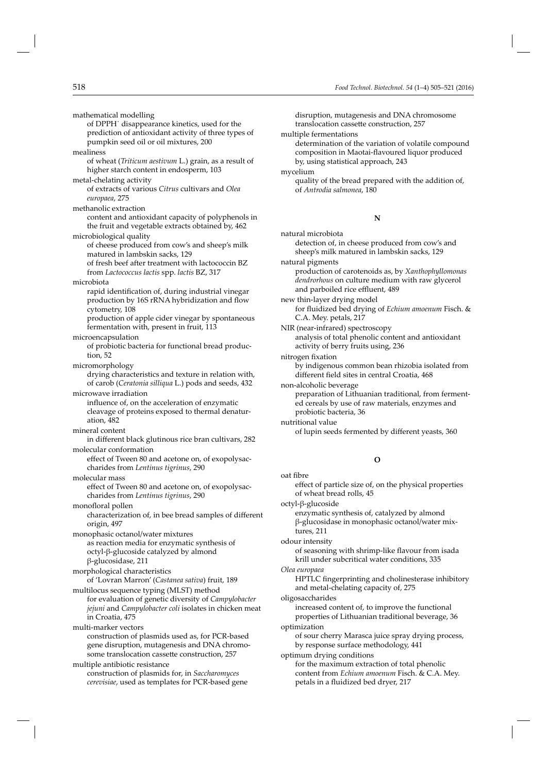mathematical modelling of DPPH˙ disappearance kinetics, used for the prediction of antioxidant activity of three types of pumpkin seed oil or oil mixtures, 200 mealiness of wheat (*Triticum aestivum* L.) grain, as a result of higher starch content in endosperm, 103 metal-chelating activity of extracts of various *Citrus* cultivars and *Olea europaea*, 275 methanolic extraction content and antioxidant capacity of polyphenols in the fruit and vegetable extracts obtained by, 462 microbiological quality of cheese produced from cow's and sheep's milk matured in lambskin sacks, 129 of fresh beef after treatment with lactococcin BZ from *Lactococcus lactis* spp. *lactis* BZ, 317 microbiota rapid identification of, during industrial vinegar production by 16S rRNA hybridization and flow cytometry, 108 production of apple cider vinegar by spontaneous fermentation with, present in fruit, 113 microencapsulation of probiotic bacteria for functional bread production, 52 micromorphology drying characteristics and texture in relation with, of carob (*Ceratonia silliqua* L.) pods and seeds, 432 microwave irradiation influence of, on the acceleration of enzymatic cleavage of proteins exposed to thermal denaturation, 482 mineral content in different black glutinous rice bran cultivars, 282 molecular conformation effect of Tween 80 and acetone on, of exopolysaccharides from *Lentinus tigrinus*, 290 molecular mass effect of Tween 80 and acetone on, of exopolysaccharides from *Lentinus tigrinus*, 290 monofloral pollen characterization of, in bee bread samples of different origin, 497 monophasic octanol/water mixtures as reaction media for enzymatic synthesis of octyl-β-glucoside catalyzed by almond β-glucosidase, 211 morphological characteristics of 'Lovran Marron' (*Castanea sativa*) fruit, 189 multilocus sequence typing (MLST) method for evaluation of genetic diversity of *Campylobacter jejuni* and *Campylobacter coli* isolates in chicken meat in Croatia, 475 multi-marker vectors construction of plasmids used as, for PCR-based gene disruption, mutagenesis and DNA chromosome translocation cassette construction, 257 multiple antibiotic resistance construction of plasmids for, in *Saccharomyces cerevisiae*, used as templates for PCR-based gene

disruption, mutagenesis and DNA chromosome translocation cassette construction, 257

multiple fermentations

determination of the variation of volatile compound composition in Maotai-flavoured liquor produced by, using statistical approach, 243

mycelium

quality of the bread prepared with the addition of, of *Antrodia salmonea*, 180

#### **N**

natural microbiota detection of, in cheese produced from cow's and sheep's milk matured in lambskin sacks, 129 natural pigments

production of carotenoids as, by *Xanthophyllomonas dendrorhous* on culture medium with raw glycerol and parboiled rice effluent, 489

new thin-layer drying model for fluidized bed drying of *Echium amoenum* Fisch. & C.A. Mey. petals, 217

NIR (near-infrared) spectroscopy analysis of total phenolic content and antioxidant activity of berry fruits using, 236

nitrogen fixation

by indigenous common bean rhizobia isolated from different field sites in central Croatia, 468

- non-alcoholic beverage preparation of Lithuanian traditional, from fermented cereals by use of raw materials, enzymes and probiotic bacteria, 36
- nutritional value of lupin seeds fermented by different yeasts, 360

#### **O**

oat fibre

effect of particle size of, on the physical properties of wheat bread rolls, 45

octyl-β-glucoside

enzymatic synthesis of, catalyzed by almond β-glucosidase in monophasic octanol/water mixtures, 211

odour intensity

of seasoning with shrimp-like flavour from isada krill under subcritical water conditions, 335

*Olea europaea*

HPTLC fingerprinting and cholinesterase inhibitory and metal-chelating capacity of, 275

oligosaccharides

increased content of, to improve the functional properties of Lithuanian traditional beverage, 36

optimization

of sour cherry Marasca juice spray drying process, by response surface methodology, 441

optimum drying conditions for the maximum extraction of total phenolic content from *Echium amoenum* Fisch. & C.A. Mey. petals in a fluidized bed dryer, 217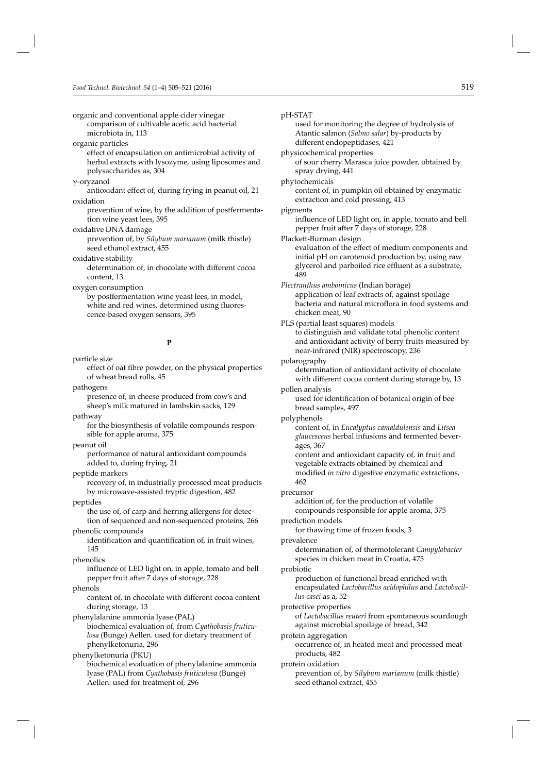organic and conventional apple cider vinegar comparison of cultivable acetic acid bacterial microbiota in, 113

#### organic particles

effect of encapsulation on antimicrobial activity of herbal extracts with lysozyme, using liposomes and polysaccharides as, 304

γ-oryzanol

antioxidant effect of, during frying in peanut oil, 21 oxidation

prevention of wine, by the addition of postfermentation wine yeast lees, 395

#### oxidative DNA damage

prevention of, by *Silybum marianum* (milk thistle) seed ethanol extract, 455

oxidative stability

determination of, in chocolate with different cocoa content, 13

oxygen consumption

by postfermentation wine yeast lees, in model, white and red wines, determined using fluorescence-based oxygen sensors, 395

#### **P**

particle size

effect of oat fibre powder, on the physical properties of wheat bread rolls, 45

pathogens

presence of, in cheese produced from cow's and sheep's milk matured in lambskin sacks, 129

pathway

for the biosynthesis of volatile compounds responsible for apple aroma, 375

peanut oil

performance of natural antioxidant compounds added to, during frying, 21

peptide markers

recovery of, in industrially processed meat products by microwave-assisted tryptic digestion, 482

peptides

the use of, of carp and herring allergens for detection of sequenced and non-sequenced proteins, 266

phenolic compounds

identification and quantification of, in fruit wines, 145

phenolics

influence of LED light on, in apple, tomato and bell pepper fruit after 7 days of storage, 228

phenols

content of, in chocolate with different cocoa content during storage, 13

phenylalanine ammonia lyase (PAL)

biochemical evaluation of, from *Cyathobasis fruticulosa* (Bunge) Aellen. used for dietary treatment of phenylketonuria, 296

phenylketonuria (PKU) biochemical evaluation of phenylalanine ammonia lyase (PAL) from *Cyathobasis fruticulosa* (Bunge) Aellen. used for treatment of, 296

pH-STAT

used for monitoring the degree of hydrolysis of Atantic salmon (*Salmo salar*) by-products by different endopeptidases, 421

physicochemical properties of sour cherry Marasca juice powder, obtained by

spray drying, 441

phytochemicals

content of, in pumpkin oil obtained by enzymatic extraction and cold pressing, 413

pigments

influence of LED light on, in apple, tomato and bell pepper fruit after 7 days of storage, 228

Plackett-Burman design

evaluation of the effect of medium components and initial pH on carotenoid production by, using raw glycerol and parboiled rice effluent as a substrate, 489

*Plectranthus amboinicus* (Indian borage) application of leaf extracts of, against spoilage bacteria and natural microflora in food systems and chicken meat, 90

PLS (partial least squares) models to distinguish and validate total phenolic content and antioxidant activity of berry fruits measured by near-infrared (NIR) spectroscopy, 236

#### polarography

determination of antioxidant activity of chocolate with different cocoa content during storage by, 13

pollen analysis

used for identification of botanical origin of bee bread samples, 497

polyphenols

content of, in *Eucalyptus camaldulensis* and *Litsea glaucescens* herbal infusions and fermented beverages, 367

content and antioxidant capacity of, in fruit and vegetable extracts obtained by chemical and modified *in vitro* digestive enzymatic extractions, 462

precursor

addition of, for the production of volatile compounds responsible for apple aroma, 375

prediction models

for thawing time of frozen foods, 3

prevalence

determination of, of thermotolerant *Campylobacter*  species in chicken meat in Croatia, 475

#### probiotic

production of functional bread enriched with encapsulated *Lactobacillus acidophilus* and *Lactobacillus casei* as a, 52

protective properties

of *Lactobacillus reuteri* from spontaneous sourdough against microbial spoilage of bread, 342

protein aggregation

occurrence of, in heated meat and processed meat products, 482

protein oxidation

prevention of, by *Silybum marianum* (milk thistle) seed ethanol extract, 455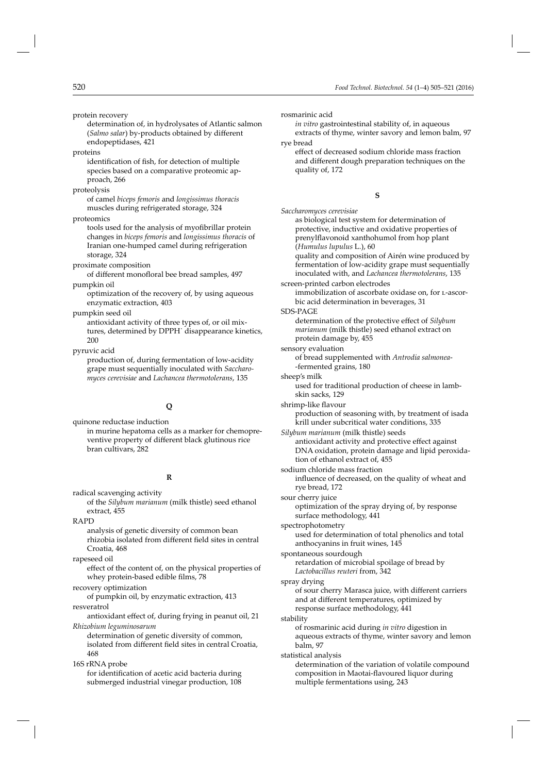protein recovery

determination of, in hydrolysates of Atlantic salmon (*Salmo salar*) by-products obtained by different endopeptidases, 421

proteins

identification of fish, for detection of multiple species based on a comparative proteomic approach, 266

proteolysis

of camel *biceps femoris* and *longissimus thoracis*  muscles during refrigerated storage, 324

proteomics

tools used for the analysis of myofibrillar protein changes in *biceps femoris* and *longissimus thoracis* of Iranian one-humped camel during refrigeration storage, 324

proximate composition

of different monofloral bee bread samples, 497 pumpkin oil

optimization of the recovery of, by using aqueous enzymatic extraction, 403

pumpkin seed oil

antioxidant activity of three types of, or oil mixtures, determined by DPPH˙ disappearance kinetics, 200

pyruvic acid

production of, during fermentation of low-acidity grape must sequentially inoculated with *Saccharomyces cerevisiae* and *Lachancea thermotolerans*, 135

#### **Q**

quinone reductase induction in murine hepatoma cells as a marker for chemopreventive property of different black glutinous rice bran cultivars, 282

#### **R**

radical scavenging activity

of the *Silybum marianum* (milk thistle) seed ethanol extract, 455

RAPD

analysis of genetic diversity of common bean rhizobia isolated from different field sites in central Croatia, 468

rapeseed oil

effect of the content of, on the physical properties of whey protein-based edible films, 78

recovery optimization

of pumpkin oil, by enzymatic extraction, 413 resveratrol

antioxidant effect of, during frying in peanut oil, 21

*Rhizobium leguminosarum* determination of genetic diversity of common, isolated from different field sites in central Croatia, 468

16S rRNA probe for identification of acetic acid bacteria during submerged industrial vinegar production, 108 rosmarinic acid

*in vitro* gastrointestinal stability of, in aqueous extracts of thyme, winter savory and lemon balm, 97

rye bread

effect of decreased sodium chloride mass fraction and different dough preparation techniques on the quality of, 172

#### **S**

*Saccharomyces cerevisiae* as biological test system for determination of protective, inductive and oxidative properties of prenylflavonoid xanthohumol from hop plant (*Humulus lupulus* L.), 60 quality and composition of Airén wine produced by fermentation of low-acidity grape must sequentially inoculated with, and *Lachancea thermotolerans*, 135 screen-printed carbon electrodes immobilization of ascorbate oxidase on, for L-ascorbic acid determination in beverages, 31 SDS-PAGE determination of the protective effect of *Silybum marianum* (milk thistle) seed ethanol extract on protein damage by, 455 sensory evaluation of bread supplemented with *Antrodia salmonea*- -fermented grains, 180 sheep's milk used for traditional production of cheese in lambskin sacks, 129 shrimp-like flavour production of seasoning with, by treatment of isada krill under subcritical water conditions, 335 *Silybum marianum* (milk thistle) seeds antioxidant activity and protective effect against DNA oxidation, protein damage and lipid peroxidation of ethanol extract of, 455 sodium chloride mass fraction influence of decreased, on the quality of wheat and rye bread, 172 sour cherry juice optimization of the spray drying of, by response surface methodology, 441 spectrophotometry used for determination of total phenolics and total anthocyanins in fruit wines, 145 spontaneous sourdough retardation of microbial spoilage of bread by *Lactobacillus reuteri* from, 342 spray drying of sour cherry Marasca juice, with different carriers and at different temperatures, optimized by response surface methodology, 441 stability of rosmarinic acid during *in vitro* digestion in aqueous extracts of thyme, winter savory and lemon balm, 97 statistical analysis determination of the variation of volatile compound composition in Maotai-flavoured liquor during multiple fermentations using, 243